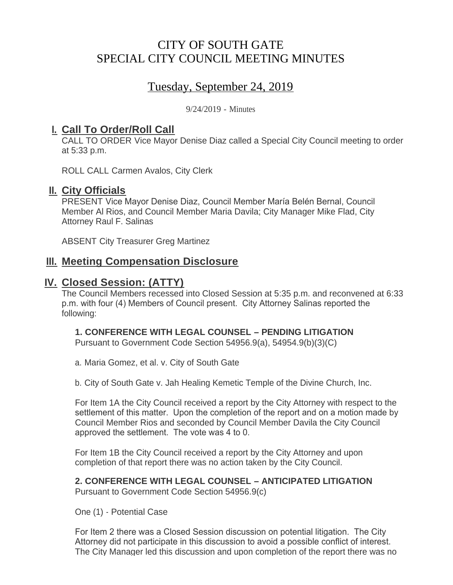# CITY OF SOUTH GATE SPECIAL CITY COUNCIL MEETING MINUTES

# Tuesday, September 24, 2019

9/24/2019 - Minutes

## <u>**I. Call To Order/Roll Call**</u>

CALL TO ORDER Vice Mayor Denise Diaz called a Special City Council meeting to order at 5:33 p.m.

ROLL CALL Carmen Avalos, City Clerk

#### **II.** City Officials

PRESENT Vice Mayor Denise Diaz, Council Member María Belén Bernal, Council Member Al Rios, and Council Member Maria Davila; City Manager Mike Flad, City Attorney Raul F. Salinas

ABSENT City Treasurer Greg Martinez

#### **Meeting Compensation Disclosure III.**

### **Closed Session: (ATTY) IV.**

The Council Members recessed into Closed Session at 5:35 p.m. and reconvened at 6:33 p.m. with four (4) Members of Council present. City Attorney Salinas reported the following:

#### **1. CONFERENCE WITH LEGAL COUNSEL – PENDING LITIGATION**

Pursuant to Government Code Section 54956.9(a), 54954.9(b)(3)(C)

a. Maria Gomez, et al. v. City of South Gate

b. City of South Gate v. Jah Healing Kemetic Temple of the Divine Church, Inc.

For Item 1A the City Council received a report by the City Attorney with respect to the settlement of this matter. Upon the completion of the report and on a motion made by Council Member Rios and seconded by Council Member Davila the City Council approved the settlement. The vote was 4 to 0.

For Item 1B the City Council received a report by the City Attorney and upon completion of that report there was no action taken by the City Council.

# **2. CONFERENCE WITH LEGAL COUNSEL – ANTICIPATED LITIGATION**

Pursuant to Government Code Section 54956.9(c)

One (1) - Potential Case

For Item 2 there was a Closed Session discussion on potential litigation. The City Attorney did not participate in this discussion to avoid a possible conflict of interest. The City Manager led this discussion and upon completion of the report there was no